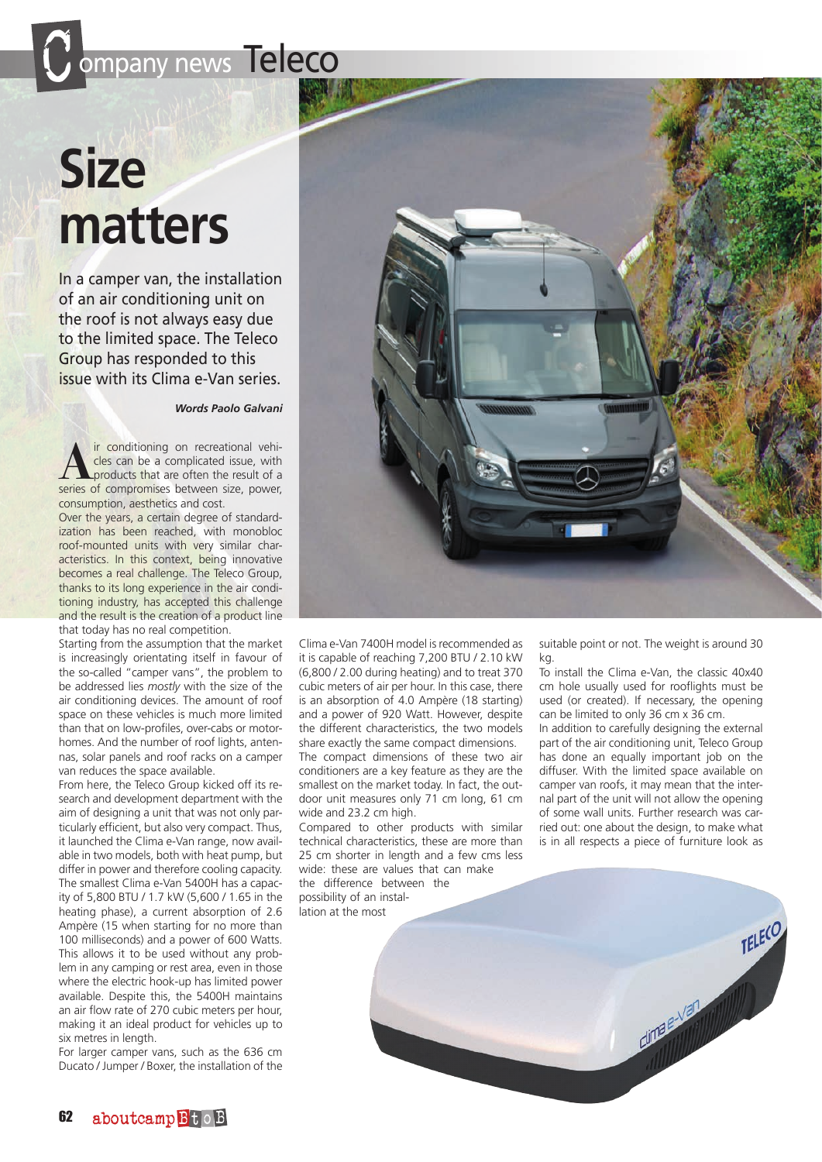## ompany news Teleco

## **Size matters**

In a camper van, the installation of an air conditioning unit on the roof is not always easy due to the limited space. The Teleco Group has responded to this issue with its Clima e-Van series.

*Words Paolo Galvani*

**A**<br> **A** ir conditioning on recreational vehi-<br>
products that are often the result of a<br>
series of compromises between size, power cles can be a complicated issue, with series of compromises between size, power, consumption, aesthetics and cost.

Over the years, a certain degree of standardization has been reached, with monobloc roof-mounted units with very similar characteristics. In this context, being innovative becomes a real challenge. The Teleco Group, thanks to its long experience in the air conditioning industry, has accepted this challenge and the result is the creation of a product line that today has no real competition.

Starting from the assumption that the market is increasingly orientating itself in favour of the so-called "camper vans", the problem to be addressed lies *mostly* with the size of the air conditioning devices. The amount of roof space on these vehicles is much more limited than that on low-profiles, over-cabs or motorhomes. And the number of roof lights, antennas, solar panels and roof racks on a camper van reduces the space available.

From here, the Teleco Group kicked off its research and development department with the aim of designing a unit that was not only particularly efficient, but also very compact. Thus, it launched the Clima e-Van range, now available in two models, both with heat pump, but differ in power and therefore cooling capacity. The smallest Clima e-Van 5400H has a capacity of 5,800 BTU / 1.7 kW (5,600 / 1.65 in the heating phase), a current absorption of 2.6 Ampère (15 when starting for no more than 100 milliseconds) and a power of 600 Watts. This allows it to be used without any problem in any camping or rest area, even in those where the electric hook-up has limited power available. Despite this, the 5400H maintains an air flow rate of 270 cubic meters per hour, making it an ideal product for vehicles up to six metres in length.

For larger camper vans, such as the 636 cm Ducato / Jumper / Boxer, the installation of the



Clima e-Van 7400H model is recommended as it is capable of reaching 7,200 BTU / 2.10 kW (6,800 / 2.00 during heating) and to treat 370 cubic meters of air per hour. In this case, there is an absorption of 4.0 Ampère (18 starting) and a power of 920 Watt. However, despite the different characteristics, the two models share exactly the same compact dimensions. The compact dimensions of these two air conditioners are a key feature as they are the smallest on the market today. In fact, the outdoor unit measures only 71 cm long, 61 cm wide and 23.2 cm high.

Compared to other products with similar technical characteristics, these are more than 25 cm shorter in length and a few cms less wide: these are values that can make

the difference between the possibility of an installation at the most

suitable point or not. The weight is around 30 kg.

To install the Clima e-Van, the classic 40x40 cm hole usually used for rooflights must be used (or created). If necessary, the opening can be limited to only 36 cm x 36 cm.

In addition to carefully designing the external part of the air conditioning unit, Teleco Group has done an equally important job on the diffuser. With the limited space available on camper van roofs, it may mean that the internal part of the unit will not allow the opening of some wall units. Further research was carried out: one about the design, to make what is in all respects a piece of furniture look as